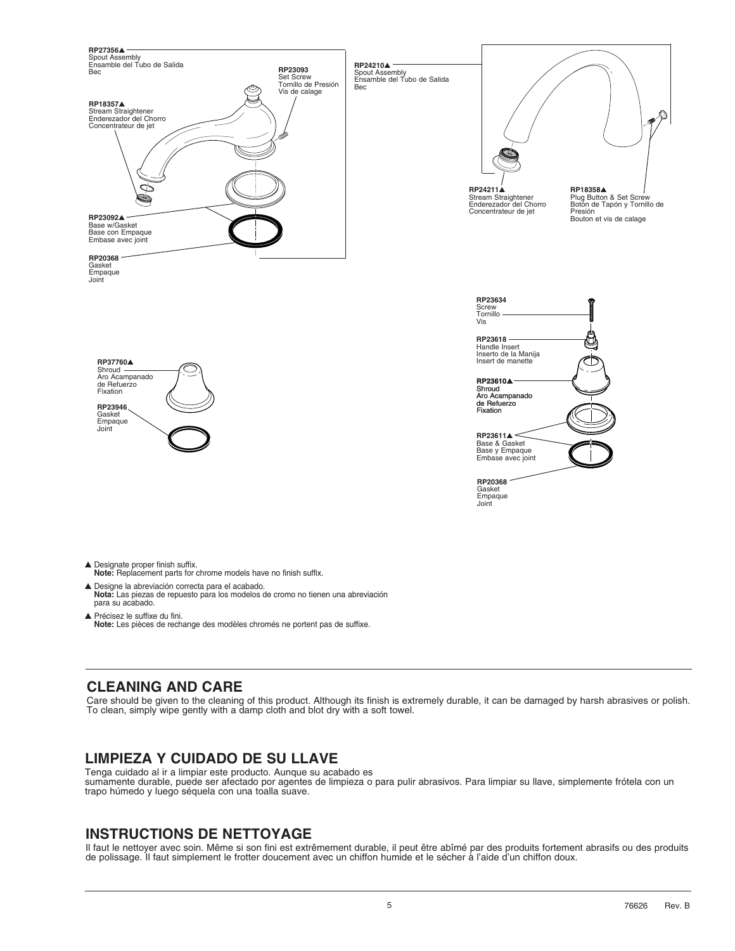

- **Note:** Replacement parts for chrome models have no finish suffix.
- s Designe la abreviación correcta para el acabado.  **Nota:** Las piezas de repuesto para los modelos de cromo no tienen una abreviación para su acabado.
- ▲ Précisez le suffixe du fini.  **Note:** Les pièces de rechange des modèles chromés ne portent pas de suffixe.

## **CLEANING AND CARE**

Care should be given to the cleaning of this product. Although its finish is extremely durable, it can be damaged by harsh abrasives or polish. To clean, simply wipe gently with a damp cloth and blot dry with a soft towel.

# **LIMPIEZA Y CUIDADO DE SU LLAVE**

Tenga cuidado al ir a limpiar este producto. Aunque su acabado es sumamente durable, puede ser afectado por agentes de limpieza o para pulir abrasivos. Para limpiar su llave, simplemente frótela con un trapo húmedo y luego séquela con una toalla suave.

## **INSTRUCTIONS DE NETTOYAGE**

Il faut le nettoyer avec soin. Même si son fini est extrêmement durable, il peut être abîmé par des produits fortement abrasifs ou des produits de polissage. Il faut simplement le frotter doucement avec un chiffon humide et le sécher à l'aide d'un chiffon doux.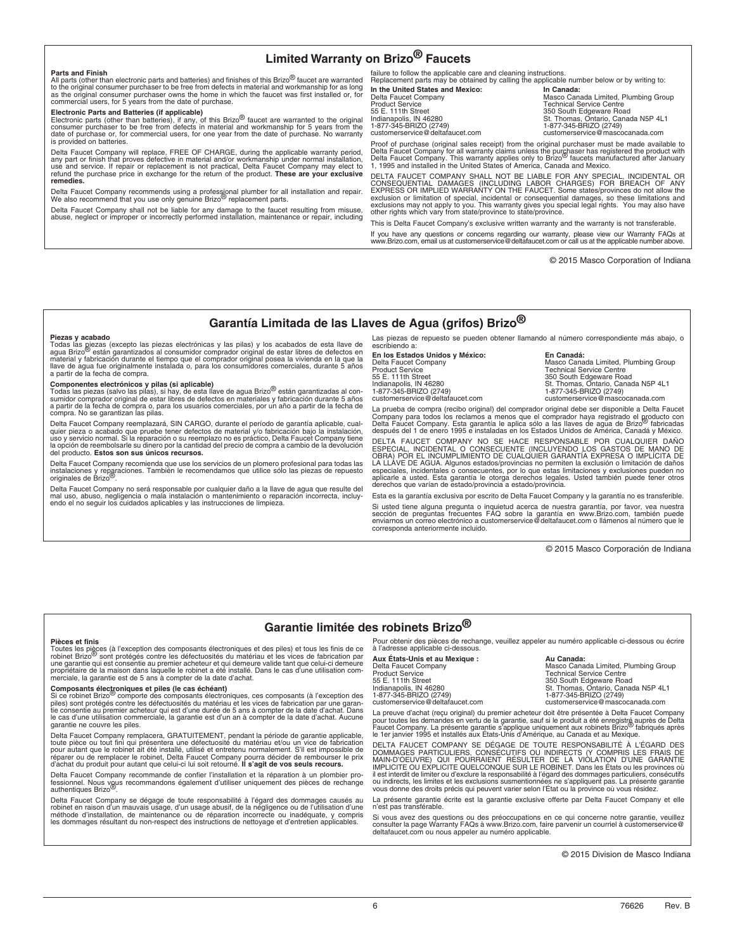#### **Limited Warranty on Brizo® Faucets**

#### **Parts and Finish**

All parts (other than electronic parts and batteries) and finishes of this Brizo<sup>®</sup> faucet are warranted to the original consumer purchaser to be free from defects in material and workmanship for as long<br>as the original consumer purchaser owns the home in which the faucet was first installed or, for<br>commercial users, for 5 ye

**Electronic Parts and Batteries (if applicable)**<br>Electronic parts (other than batteries), if any, of this Brizo<sup>®</sup> faucet are warranted to the original<br>consumer purchaser to be free from defects in material and workmanship date of purchase or, for commercial users, for one year from the date of purchase. No warranty is provided on batteries.

Delta Faucet Company will replace, FREE OF CHARGE, during the applicable warranty period, any part or finish that proves defective in material and/or workmanship under normal installation,<br>use and service. If repair or replacement is not practical, Delta Faucet Company may elect to<br>refund the purchase price in **remedies.** 

Delta Faucet Company recommends using a professional plumber for all installation and repair.<br>We also recommend that you use only genuine Brizo<sup>®</sup> replacement parts.

Delta Faucet Company shall not be liable for any damage to the faucet resulting from misuse, abuse, neglect or improper or incorrectly performed installation, maintenance or repair, including

failure to follow the applicable care and cleaning instructions. Replacement parts may be obtained by calling the applicable number below or by writing to: **In the United States and Mexico: <br>
Delta Faucet Company <b>Mexico:** Masco Can<br>
Product Service **Technical State** 

Delta Faucet Company Masco Canada Limited, Plumbing Group Product Service Technical Service Centre 55 E. 111th Street 350 South Edgeware Road Indianapolis, IN 46280 St. Thomas, Ontario, Canada N5P 4L1 1-877-345-BRIZO (2749) 1-877-345-BRIZO (2749) customerservice@deltafaucet.com customerservice@mascocanada.com

Proof of purchase (original sales receipt) from the original purchaser must be made available to<br>Delta Faucet Company for all warranty claims unless the purchaser has registered the product with<br>Delta Faucet Company. This

DELTA FAUCET COMPANY SHALL NOT BE LIABLE FOR ANY SPECIAL, INCIDENTAL OR<br>CONSEQUENTIAL DAMAGES (INCLUDING LABOR CHARGES) FOR BREACH OF ANY<br>EXPRESS OR IMPLIED WARRANTY ON THE FAUCET. Some states/provinces do not allow the exclusion or limitation of special, incidental or consequential damages, so these limitations and<br>exclusions may not apply to you. This warranty gives you special legal rights. You may also have<br>other rights which vary fro

This is Delta Faucet Company's exclusive written warranty and the warranty is not transferable. If you have any questions or concerns regarding our warranty, please view our Warranty FAQs at www.Brizo.com, email us at customerservice@deltafaucet.com or call us at the applicable number above.

© 2015 Masco Corporation of Indiana

**Garantía Limitada de las Llaves de Agua (grifos) Brizo®**

**Piezas y acabado**<br>Todas las giezas (excepto las piezas electrónicas y las pilas) y los acabados de esta llave de<br>agua Brizo® están garantizados al consumidor comprador original de estar libres de defectos en<br>material y fa

**Componentes electrónicos y pilas (si aplicable)**<br>Todas las piezas (salvo las pilas), si hay, de esta llave de agua Brizo<sup>®</sup> están garantizadas al con-<br>sumidor comprador original de estar libres de defectos en materiales y compra. No se garantizan las pilas.

Delta Faucet Company reemplazará, SIN CARGO, durante el período de garantía aplicable, cual-<br>quier pieza o acabado que pruebe tener defectos de material y/o fabricación bajo la instalación,<br>uso y servicio normal. Si la rep la opción de reembolsarle su dinero por la cantidad del precio de compra a cambio de la devolución del producto. **Estos son sus únicos recursos.** 

Delta Faucet Company recomienda que use los servicios de un plomero profesional para todas las instalaciones y reparaciones. También le recomendamos que utilice sólo las piezas de repuesto<br>originales de Brizo®.

Delta Faucet Company no será responsable por cualquier daño a la llave de agua que resulte del<br>mal uso, abuso, negligencia o mala instalación o mantenimiento o reparación incorrecta, incluy-<br>endo el no seguir los cuidados

escribiendo a: **En los Estados Unidos y México: En Canadá:**

customerservice@deltafaucet.com customerservice@mascocanad

Las piezas de repuesto se pueden obtener llamando al número correspondiente más abajo, o Encirco Euration Company<br>Delta Faucet Company Masco Canada Limited, Plumbing Group<br>Product Service Product Service<br>
55 E. 111th Street<br>
161anapolis, IN 46280<br>
161anapolis, IN 46280<br>
1610 St. Thomas, Ontario, Canada N5P 4L1<br>
1617-345-BRIZO (2749)<br>
1618-77-345-BRIZO (2749)

La prueba de compra (recibo original) del comprador original debe ser disponible a Delta Faucet Company para todos los reclamos a menos que el comprador haya registrado el producto con<br>Delta Faucet Company. Esta garantía le aplica sólo a las llaves de agua de Brizo<sup>®</sup> fabricadas<br>después del 1 de enero 1995 e instalad

DELTA FAUCET COMPANY NO SE HACE RESPONSABLE POR CUALQUIER DAÑO<br>ESPECIAL, INCIDENTAL O CONSECUENTE (INCLUYENDO LOS GASTOS DE MANO DE<br>OBRA) POR EL INCUMPLIMIENTO DE CUALQUIER GARANTÍA EXPRESA O IMPLÍCITA DE<br>LA LLAVE DE AGUA. especiales, incidentales o consecuentes, por lo que estas limitaciones y exclusiones pueden no<br>aplicarle a usted. Esta garantía le otorga derechos legales. Usted también puede tener otros<br>derechos que varían de estado/prov

Esta es la garantía exclusiva por escrito de Delta Faucet Company y la garantía no es transferible. Si usted tiene alguna pregunta o inquietud acerca de nuestra garantía, por favor, vea nuestra<br>sección de preguntas frecuentes FAQ sobre la garantía en www.Brizo.com, también puede<br>enviarnos un correo electrónico a customer corresponda anteriormente incluido.

© 2015 Masco Corporación de Indiana

#### **Garantie limitée des robinets Brizo®**

#### **Pièces et finis**

Toutes les pièces (à l'exception des composants électroniques et des piles) et tous les finis de ce<br>robinet Brizo<sup>®</sup> sont protégés contre les défectuosités du matériau et les vices de fabrication par une garantie qui est consentie au premier acheteur et qui demeure valide tant que celui-ci demeure propriétaire de la maison dans laquelle le robinet a été installé. Dans le cas d'une utilisation com-merciale, la garantie est de 5 ans à compter de la date d'achat.

## **Composants électroniques et piles (le cas échéant)**

Si ce robinet Brizo<sup>60</sup> comporte des composants électroniques, ces composants (à l'exception des<br>piles) sont protégés contre les défectuosités du matériau et les vices de fabrication par une garan-<br>tie consentie au premier le cas d'une utilisation commerciale, la garantie est d'un an à compter de la date d'achat. Aucune garantie ne couvre les piles.

Delta Faucet Company remplacera, GRATUITEMENT, pendant la période de garantie applicable, toute pièce ou tout fini qui présentera une défectuosité du matériau et/ou un vice de fabrication<br>pour autant que le robinet ait été installé, utilisé et entretenu normalement. S'il est impossible de<br>réparer ou de remplace

Delta Faucet Company recommande de confier l'installation et la réparation à un plombier pro-<br>fessionnel. Nous vous recommandons également d'utiliser uniquement des pièces de rechange<br>authentiques Brizo®.

Delta Faucet Company se dégage de toute responsabilité à l'égard des dommages causés au<br>robinet en raison d'un mauvais usage, d'un usage abusif, de la négligence ou de l'utilisation d'une<br>méthode d'installation, de mainten les dommages résultant du non-respect des instructions de nettoyage et d'entretien applicables.

Pour obtenir des pièces de rechange, veuillez appeler au numéro applicable ci-dessous ou écrire à l'adresse applicable ci-dessous.

**Aux États-Unis et au Mexique : Au Canada:** Delta Faucet Company<br>
Product Service<br>
Product Service<br>
Product Service<br>
Product Service Product Service<br>55 E. 111th Street 15 Centre 10 South Edgeware Road<br>Indianapolis, IN 46280 St. Thomas, Ontario, Canada N5P 4L1<br>1-877-345-BRIZO (2749) 1-877-345-BRIZO (2749)

customerservice@deltafaucet.com customerservice@mascocanada.com

La preuve d'achat (reçu original) du premier acheteur doit être présentée à Delta Faucet Company pour toutes les demandes en vertu de la garantie, sauf si le produit a été enregistré auprès de Delta<br>Faucet Company. La présente garantie s'applique uniquement aux robinets Brizo<sup>®</sup> fabriqués après<br>le 1er janvier 1995 et

DELTA FAUCET COMPANY SE DEGAGE DE TOUTE RESPONSABILITE A L'EGARD DES<br>DOMMAGES PARTICULIERS, CONSÉCUTIFS OU INDIRECTS (Y COMPRIS LES FRAIS DE<br>MAIN-D'OEUVRE) QUI POURRAIENT RÉSULTER DE LA VIOLATION D'UNE GARANTIE<br>IMPLICITE O il est interdit de limiter ou d'exclure la responsabilité à l'égard des dommages particuliers, consécutifs<br>ou indirects, les limites et les exclusions susmentionnées ne s'appliquent pas. La présente garantie<br>vous donne des

La présente garantie écrite est la garantie exclusive offerte par Delta Faucet Company et elle n'est pas transférable.

Si vous avez des questions ou des préoccupations en ce qui concerne notre garantie, veuillez consulter la page Warranty FAQs à www.Brizo.com, faire parvenir un courriel à customerservice@ deltafaucet.com ou nous appeler au numéro applicable.

© 2015 Division de Masco Indiana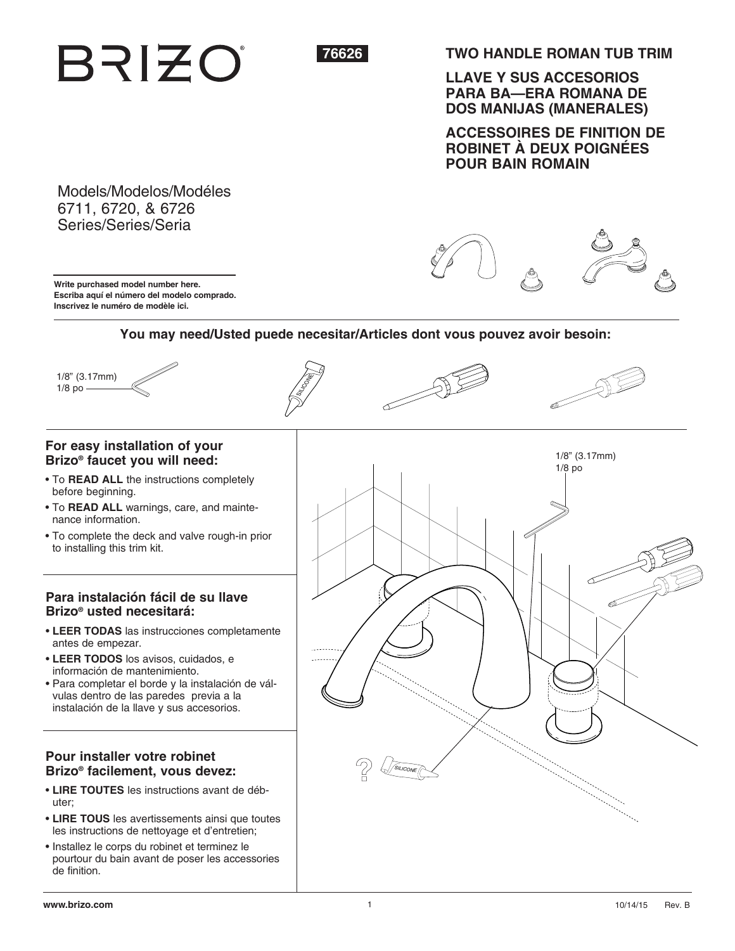# **BRIZO**



**TWO HANDLE ROMAN TUB TRIM**

**LLAVE Y SUS ACCESORIOS PARA BA—ERA ROMANA DE DOS MANIJAS (MANERALES)**

**ACCESSOIRES DE FINITION DE ROBINET À DEUX POIGNÉES POUR BAIN ROMAIN**

AF

Models/Modelos/Modéles 6711, 6720, & 6726 Series/Series/Seria

**Write purchased model number here. Escriba aquí el número del modelo comprado. Inscrivez le numéro de modèle ici.**

## **You may need/Usted puede necesitar/Articles dont vous pouvez avoir besoin:**

Siya<br>Si

#### 1/8" (3.17mm) 1/8 po

### **For easy installation of your Brizo® faucet you will need:**

- To **READ ALL** the instructions completely before beginning.
- To **READ ALL** warnings, care, and maintenance information.
- To complete the deck and valve rough-in prior to installing this trim kit.

#### **Para instalación fácil de su llave Brizo® usted necesitará:**

- **LEER TODAS** las instrucciones completamente antes de empezar.
- **LEER TODOS** los avisos, cuidados, e información de mantenimiento.
- Para completar el borde y la instalación de válvulas dentro de las paredes previa a la instalación de la llave y sus accesorios.

#### **Pour installer votre robinet Brizo® facilement, vous devez:**

- **LIRE TOUTES** les instructions avant de débuter;
- **LIRE TOUS** les avertissements ainsi que toutes les instructions de nettoyage et d'entretien;
- Installez le corps du robinet et terminez le pourtour du bain avant de poser les accessories de finition.

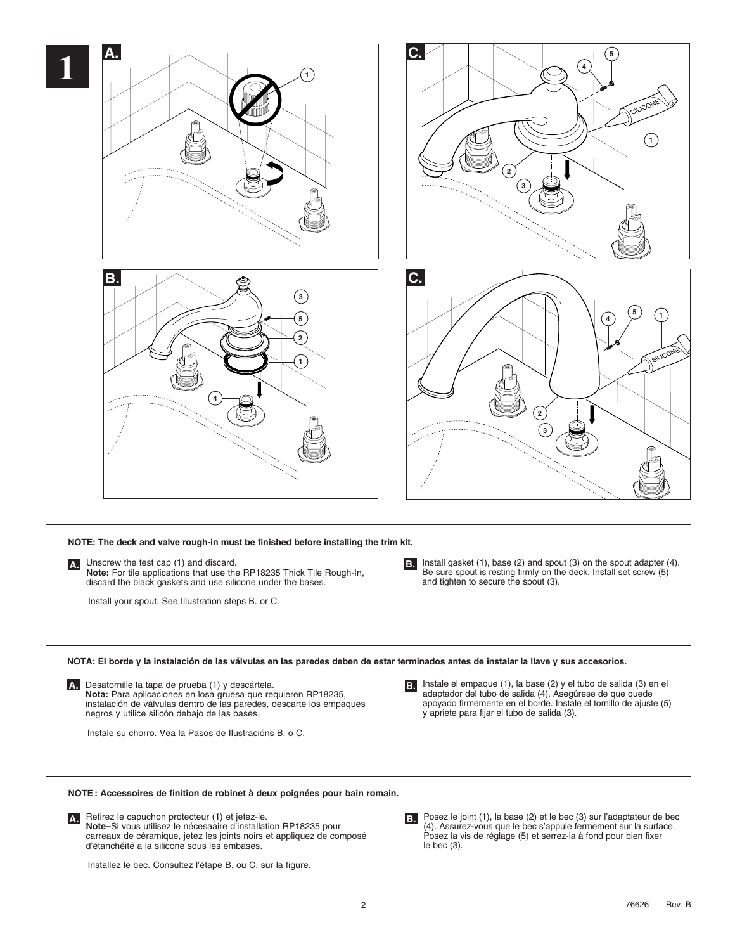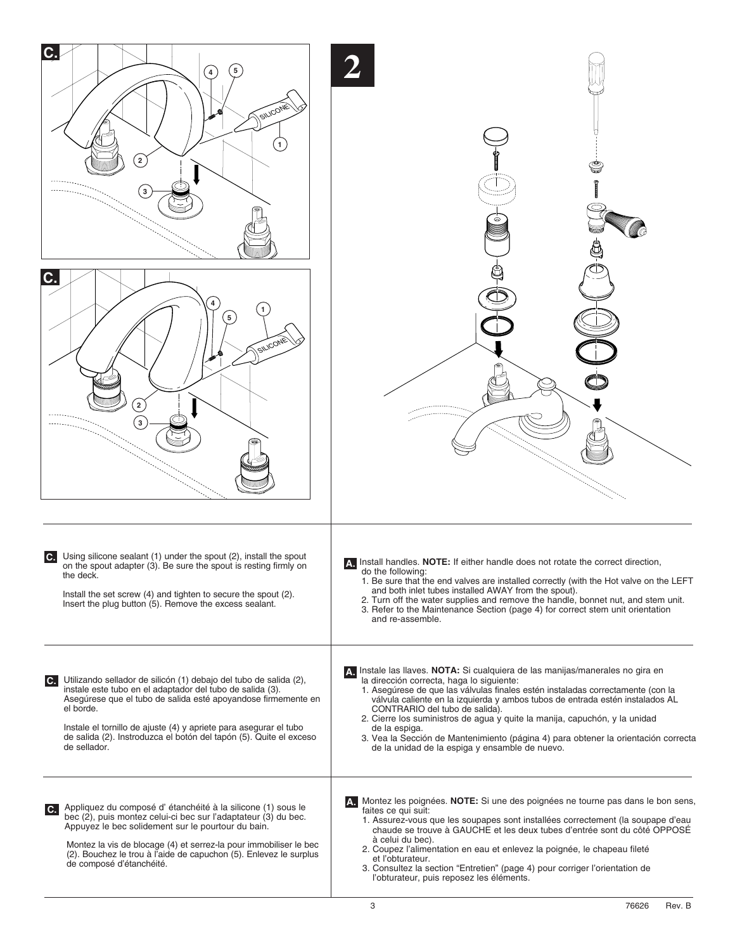| C.<br>4<br>SILICONE<br>$2 \frac{1}{2}$<br>3<br>SILICONE<br>2<br>$\mathbf 3$                                                                                                                                                                                                                                                                                                               |                                                                                                                                                                                                                                                                                                                                                                                                                                                                                                                                                                          |
|-------------------------------------------------------------------------------------------------------------------------------------------------------------------------------------------------------------------------------------------------------------------------------------------------------------------------------------------------------------------------------------------|--------------------------------------------------------------------------------------------------------------------------------------------------------------------------------------------------------------------------------------------------------------------------------------------------------------------------------------------------------------------------------------------------------------------------------------------------------------------------------------------------------------------------------------------------------------------------|
| Using silicone sealant (1) under the spout (2), install the spout<br>$\mathbf{C}$<br>on the spout adapter (3). Be sure the spout is resting firmly on<br>the deck.<br>Install the set screw (4) and tighten to secure the spout (2).<br>Insert the plug button (5). Remove the excess sealant.                                                                                            | A Install handles. NOTE: If either handle does not rotate the correct direction,<br>do the following:<br>1. Be sure that the end valves are installed correctly (with the Hot valve on the LEFT<br>and both inlet tubes installed AWAY from the spout).<br>2. Turn off the water supplies and remove the handle, bonnet nut, and stem unit.<br>3. Refer to the Maintenance Section (page 4) for correct stem unit orientation<br>and re-assemble.                                                                                                                        |
| Utilizando sellador de silicón (1) debajo del tubo de salida (2),<br>$\mathbf{C}$ .<br>instale este tubo en el adaptador del tubo de salida (3).<br>Asegúrese que el tubo de salida esté apoyandose firmemente en<br>el borde.<br>Instale el tornillo de ajuste (4) y apriete para asegurar el tubo<br>de salida (2). Instroduzca el botón del tapón (5). Quite el exceso<br>de sellador. | A. Instale las llaves. NOTA: Si cualquiera de las manijas/manerales no gira en<br>la dirección correcta, haga lo siguiente:<br>1. Asegúrese de que las válvulas finales estén instaladas correctamente (con la<br>válvula caliente en la izquierda y ambos tubos de entrada estén instalados AL<br>CONTRARIO del tubo de salida).<br>2. Cierre los suministros de agua y quite la manija, capuchón, y la unidad<br>de la espiga.<br>3. Vea la Sección de Mantenimiento (página 4) para obtener la orientación correcta<br>de la unidad de la espiga y ensamble de nuevo. |
| Appliquez du composé d'étanchéité à la silicone (1) sous le<br>$\mathbf{c}$ .<br>bec (2), puis montez celui-ci bec sur l'adaptateur (3) du bec.<br>Appuyez le bec solidement sur le pourtour du bain.<br>Montez la vis de blocage (4) et serrez-la pour immobiliser le bec<br>(2). Bouchez le trou à l'aide de capuchon (5). Enlevez le surplus<br>de composé d'étanchéité.               | A. Montez les poignées. NOTE: Si une des poignées ne tourne pas dans le bon sens,<br>faites ce qui suit:<br>1. Assurez-vous que les soupapes sont installées correctement (la soupape d'eau<br>chaude se trouve à GAUCHE et les deux tubes d'entrée sont du côté OPPOSÉ<br>à celui du bec).<br>2. Coupez l'alimentation en eau et enlevez la poignée, le chapeau fileté<br>et l'obturateur.<br>3. Consultez la section "Entretien" (page 4) pour corriger l'orientation de<br>l'obturateur, puis reposez les éléments.                                                   |